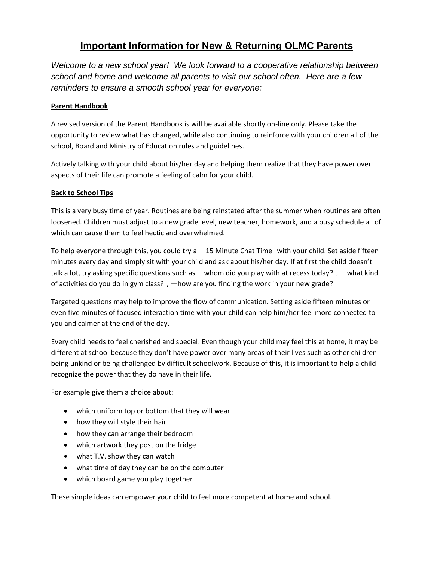# **Important Information for New & Returning OLMC Parents**

*Welcome to a new school year! We look forward to a cooperative relationship between school and home and welcome all parents to visit our school often. Here are a few reminders to ensure a smooth school year for everyone:*

## **Parent Handbook**

A revised version of the Parent Handbook is will be available shortly on-line only. Please take the opportunity to review what has changed, while also continuing to reinforce with your children all of the school, Board and Ministry of Education rules and guidelines.

Actively talking with your child about his/her day and helping them realize that they have power over aspects of their life can promote a feeling of calm for your child.

## **Back to School Tips**

This is a very busy time of year. Routines are being reinstated after the summer when routines are often loosened. Children must adjust to a new grade level, new teacher, homework, and a busy schedule all of which can cause them to feel hectic and overwhelmed.

To help everyone through this, you could try  $a - 15$  Minute Chat Time with your child. Set aside fifteen minutes every day and simply sit with your child and ask about his/her day. If at first the child doesn't talk a lot, try asking specific questions such as —whom did you play with at recess today?, —what kind of activities do you do in gym class?, —how are you finding the work in your new grade?

Targeted questions may help to improve the flow of communication. Setting aside fifteen minutes or even five minutes of focused interaction time with your child can help him/her feel more connected to you and calmer at the end of the day.

Every child needs to feel cherished and special. Even though your child may feel this at home, it may be different at school because they don't have power over many areas of their lives such as other children being unkind or being challenged by difficult schoolwork. Because of this, it is important to help a child recognize the power that they do have in their life.

For example give them a choice about:

- which uniform top or bottom that they will wear
- how they will style their hair
- how they can arrange their bedroom
- which artwork they post on the fridge
- what T.V. show they can watch
- what time of day they can be on the computer
- which board game you play together

These simple ideas can empower your child to feel more competent at home and school.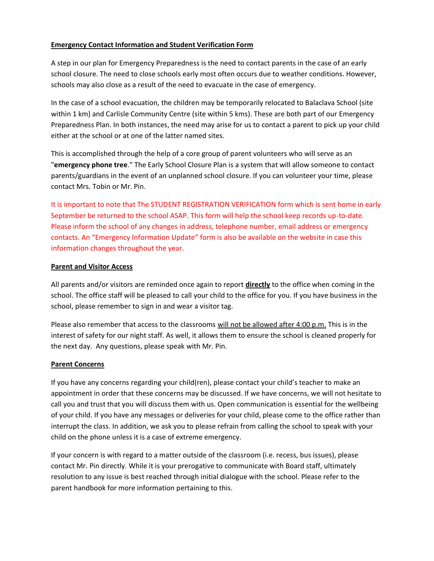## **Emergency Contact Information and Student Verification Form**

A step in our plan for Emergency Preparedness is the need to contact parents in the case of an early school closure. The need to close schools early most often occurs due to weather conditions. However, schools may also close as a result of the need to evacuate in the case of emergency.

In the case of a school evacuation, the children may be temporarily relocated to Balaclava School (site within 1 km) and Carlisle Community Centre (site within 5 kms). These are both part of our Emergency Preparedness Plan. In both instances, the need may arise for us to contact a parent to pick up your child either at the school or at one of the latter named sites.

This is accomplished through the help of a core group of parent volunteers who will serve as an "**emergency phone tree**." The Early School Closure Plan is a system that will allow someone to contact parents/guardians in the event of an unplanned school closure. If you can volunteer your time, please contact Mrs. Tobin or Mr. Pin.

It is important to note that The STUDENT REGISTRATION VERIFICATION form which is sent home in early September be returned to the school ASAP. This form will help the school keep records up-to-date. Please inform the school of any changes in address, telephone number, email address or emergency contacts. An "Emergency Information Update" form is also be available on the website in case this information changes throughout the year.

#### **Parent and Visitor Access**

All parents and/or visitors are reminded once again to report **directly** to the office when coming in the school. The office staff will be pleased to call your child to the office for you. If you have business in the school, please remember to sign in and wear a visitor tag.

Please also remember that access to the classrooms will not be allowed after 4:00 p.m. This is in the interest of safety for our night staff. As well, it allows them to ensure the school is cleaned properly for the next day. Any questions, please speak with Mr. Pin.

#### **Parent Concerns**

If you have any concerns regarding your child(ren), please contact your child's teacher to make an appointment in order that these concerns may be discussed. If we have concerns, we will not hesitate to call you and trust that you will discuss them with us. Open communication is essential for the wellbeing of your child. If you have any messages or deliveries for your child, please come to the office rather than interrupt the class. In addition, we ask you to please refrain from calling the school to speak with your child on the phone unless it is a case of extreme emergency.

If your concern is with regard to a matter outside of the classroom (i.e. recess, bus issues), please contact Mr. Pin directly. While it is your prerogative to communicate with Board staff, ultimately resolution to any issue is best reached through initial dialogue with the school. Please refer to the parent handbook for more information pertaining to this.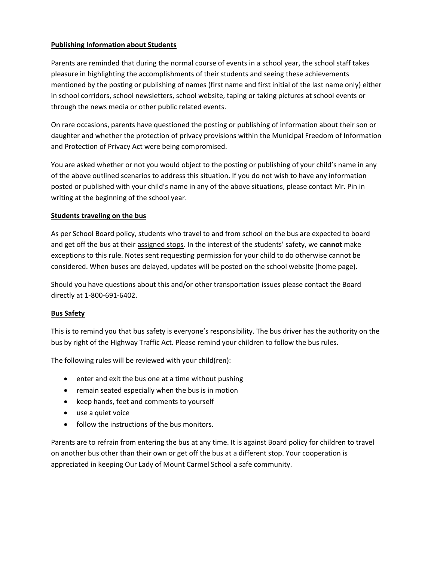# **Publishing Information about Students**

Parents are reminded that during the normal course of events in a school year, the school staff takes pleasure in highlighting the accomplishments of their students and seeing these achievements mentioned by the posting or publishing of names (first name and first initial of the last name only) either in school corridors, school newsletters, school website, taping or taking pictures at school events or through the news media or other public related events.

On rare occasions, parents have questioned the posting or publishing of information about their son or daughter and whether the protection of privacy provisions within the Municipal Freedom of Information and Protection of Privacy Act were being compromised.

You are asked whether or not you would object to the posting or publishing of your child's name in any of the above outlined scenarios to address this situation. If you do not wish to have any information posted or published with your child's name in any of the above situations, please contact Mr. Pin in writing at the beginning of the school year.

#### **Students traveling on the bus**

As per School Board policy, students who travel to and from school on the bus are expected to board and get off the bus at their assigned stops. In the interest of the students' safety, we **cannot** make exceptions to this rule. Notes sent requesting permission for your child to do otherwise cannot be considered. When buses are delayed, updates will be posted on the school website (home page).

Should you have questions about this and/or other transportation issues please contact the Board directly at 1-800-691-6402.

#### **Bus Safety**

This is to remind you that bus safety is everyone's responsibility. The bus driver has the authority on the bus by right of the Highway Traffic Act. Please remind your children to follow the bus rules.

The following rules will be reviewed with your child(ren):

- enter and exit the bus one at a time without pushing
- remain seated especially when the bus is in motion
- keep hands, feet and comments to yourself
- use a quiet voice
- follow the instructions of the bus monitors.

Parents are to refrain from entering the bus at any time. It is against Board policy for children to travel on another bus other than their own or get off the bus at a different stop. Your cooperation is appreciated in keeping Our Lady of Mount Carmel School a safe community.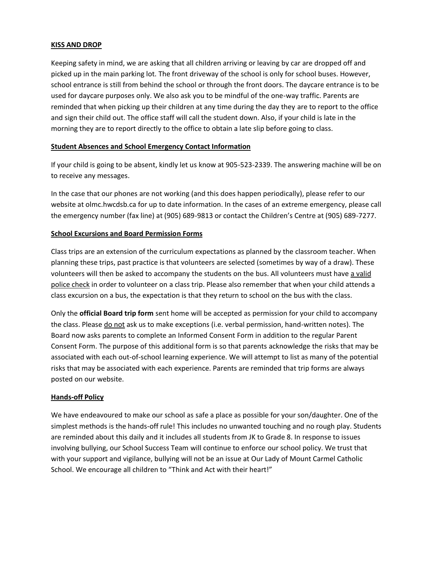#### **KISS AND DROP**

Keeping safety in mind, we are asking that all children arriving or leaving by car are dropped off and picked up in the main parking lot. The front driveway of the school is only for school buses. However, school entrance is still from behind the school or through the front doors. The daycare entrance is to be used for daycare purposes only. We also ask you to be mindful of the one-way traffic. Parents are reminded that when picking up their children at any time during the day they are to report to the office and sign their child out. The office staff will call the student down. Also, if your child is late in the morning they are to report directly to the office to obtain a late slip before going to class.

#### **Student Absences and School Emergency Contact Information**

If your child is going to be absent, kindly let us know at 905-523-2339. The answering machine will be on to receive any messages.

In the case that our phones are not working (and this does happen periodically), please refer to our website at olmc.hwcdsb.ca for up to date information. In the cases of an extreme emergency, please call the emergency number (fax line) at (905) 689-9813 or contact the Children's Centre at (905) 689-7277.

#### **School Excursions and Board Permission Forms**

Class trips are an extension of the curriculum expectations as planned by the classroom teacher. When planning these trips, past practice is that volunteers are selected (sometimes by way of a draw). These volunteers will then be asked to accompany the students on the bus. All volunteers must have a valid police check in order to volunteer on a class trip. Please also remember that when your child attends a class excursion on a bus, the expectation is that they return to school on the bus with the class.

Only the **official Board trip form** sent home will be accepted as permission for your child to accompany the class. Please do not ask us to make exceptions (i.e. verbal permission, hand-written notes). The Board now asks parents to complete an Informed Consent Form in addition to the regular Parent Consent Form. The purpose of this additional form is so that parents acknowledge the risks that may be associated with each out-of-school learning experience. We will attempt to list as many of the potential risks that may be associated with each experience. Parents are reminded that trip forms are always posted on our website.

#### **Hands-off Policy**

We have endeavoured to make our school as safe a place as possible for your son/daughter. One of the simplest methods is the hands-off rule! This includes no unwanted touching and no rough play. Students are reminded about this daily and it includes all students from JK to Grade 8. In response to issues involving bullying, our School Success Team will continue to enforce our school policy. We trust that with your support and vigilance, bullying will not be an issue at Our Lady of Mount Carmel Catholic School. We encourage all children to "Think and Act with their heart!"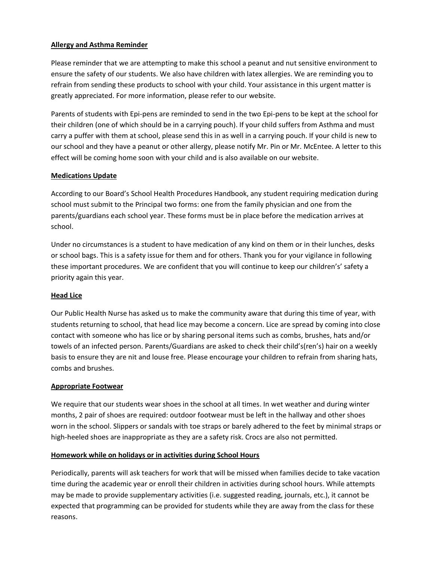# **Allergy and Asthma Reminder**

Please reminder that we are attempting to make this school a peanut and nut sensitive environment to ensure the safety of our students. We also have children with latex allergies. We are reminding you to refrain from sending these products to school with your child. Your assistance in this urgent matter is greatly appreciated. For more information, please refer to our website.

Parents of students with Epi-pens are reminded to send in the two Epi-pens to be kept at the school for their children (one of which should be in a carrying pouch). If your child suffers from Asthma and must carry a puffer with them at school, please send this in as well in a carrying pouch. If your child is new to our school and they have a peanut or other allergy, please notify Mr. Pin or Mr. McEntee. A letter to this effect will be coming home soon with your child and is also available on our website.

#### **Medications Update**

According to our Board's School Health Procedures Handbook, any student requiring medication during school must submit to the Principal two forms: one from the family physician and one from the parents/guardians each school year. These forms must be in place before the medication arrives at school.

Under no circumstances is a student to have medication of any kind on them or in their lunches, desks or school bags. This is a safety issue for them and for others. Thank you for your vigilance in following these important procedures. We are confident that you will continue to keep our children's' safety a priority again this year.

#### **Head Lice**

Our Public Health Nurse has asked us to make the community aware that during this time of year, with students returning to school, that head lice may become a concern. Lice are spread by coming into close contact with someone who has lice or by sharing personal items such as combs, brushes, hats and/or towels of an infected person. Parents/Guardians are asked to check their child's(ren's) hair on a weekly basis to ensure they are nit and louse free. Please encourage your children to refrain from sharing hats, combs and brushes.

#### **Appropriate Footwear**

We require that our students wear shoes in the school at all times. In wet weather and during winter months, 2 pair of shoes are required: outdoor footwear must be left in the hallway and other shoes worn in the school. Slippers or sandals with toe straps or barely adhered to the feet by minimal straps or high-heeled shoes are inappropriate as they are a safety risk. Crocs are also not permitted.

#### **Homework while on holidays or in activities during School Hours**

Periodically, parents will ask teachers for work that will be missed when families decide to take vacation time during the academic year or enroll their children in activities during school hours. While attempts may be made to provide supplementary activities (i.e. suggested reading, journals, etc.), it cannot be expected that programming can be provided for students while they are away from the class for these reasons.